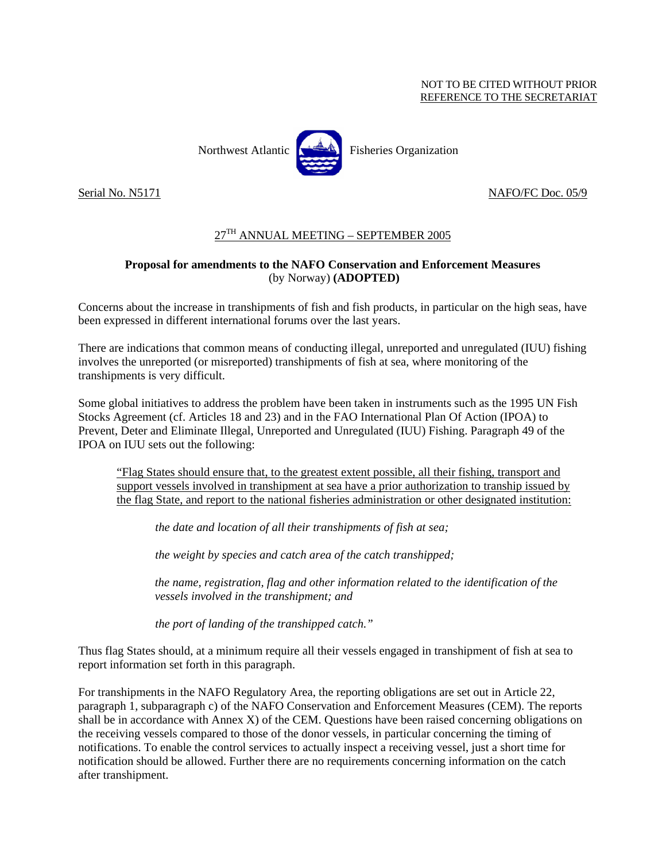#### NOT TO BE CITED WITHOUT PRIOR REFERENCE TO THE SECRETARIAT



Northwest Atlantic  $\left[\right]$  Fisheries Organization

#### Serial No. N5171 NAFO/FC Doc. 05/9

### 27TH ANNUAL MEETING – SEPTEMBER 2005

### **Proposal for amendments to the NAFO Conservation and Enforcement Measures**  (by Norway) **(ADOPTED)**

Concerns about the increase in transhipments of fish and fish products, in particular on the high seas, have been expressed in different international forums over the last years.

There are indications that common means of conducting illegal, unreported and unregulated (IUU) fishing involves the unreported (or misreported) transhipments of fish at sea, where monitoring of the transhipments is very difficult.

Some global initiatives to address the problem have been taken in instruments such as the 1995 UN Fish Stocks Agreement (cf. Articles 18 and 23) and in the FAO International Plan Of Action (IPOA) to Prevent, Deter and Eliminate Illegal, Unreported and Unregulated (IUU) Fishing. Paragraph 49 of the IPOA on IUU sets out the following:

"Flag States should ensure that, to the greatest extent possible, all their fishing, transport and support vessels involved in transhipment at sea have a prior authorization to tranship issued by the flag State, and report to the national fisheries administration or other designated institution:

 *the date and location of all their transhipments of fish at sea;* 

 *the weight by species and catch area of the catch transhipped;* 

*the name, registration, flag and other information related to the identification of the vessels involved in the transhipment; and* 

 *the port of landing of the transhipped catch."* 

Thus flag States should, at a minimum require all their vessels engaged in transhipment of fish at sea to report information set forth in this paragraph.

For transhipments in the NAFO Regulatory Area, the reporting obligations are set out in Article 22, paragraph 1, subparagraph c) of the NAFO Conservation and Enforcement Measures (CEM). The reports shall be in accordance with Annex X) of the CEM. Questions have been raised concerning obligations on the receiving vessels compared to those of the donor vessels, in particular concerning the timing of notifications. To enable the control services to actually inspect a receiving vessel, just a short time for notification should be allowed. Further there are no requirements concerning information on the catch after transhipment.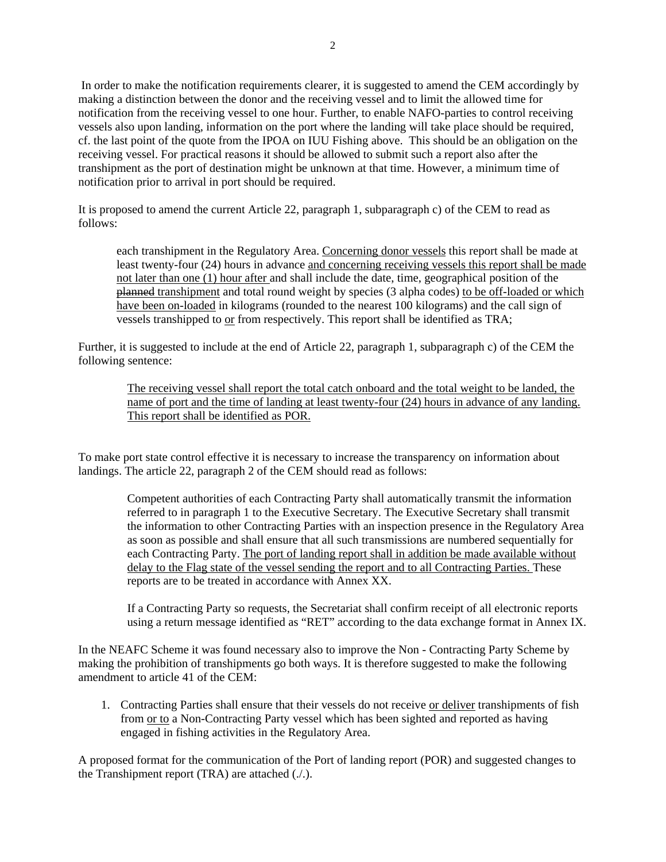In order to make the notification requirements clearer, it is suggested to amend the CEM accordingly by making a distinction between the donor and the receiving vessel and to limit the allowed time for notification from the receiving vessel to one hour. Further, to enable NAFO-parties to control receiving vessels also upon landing, information on the port where the landing will take place should be required, cf. the last point of the quote from the IPOA on IUU Fishing above. This should be an obligation on the receiving vessel. For practical reasons it should be allowed to submit such a report also after the transhipment as the port of destination might be unknown at that time. However, a minimum time of notification prior to arrival in port should be required.

It is proposed to amend the current Article 22, paragraph 1, subparagraph c) of the CEM to read as follows:

each transhipment in the Regulatory Area. Concerning donor vessels this report shall be made at least twenty-four (24) hours in advance and concerning receiving vessels this report shall be made not later than one (1) hour after and shall include the date, time, geographical position of the planned transhipment and total round weight by species (3 alpha codes) to be off-loaded or which have been on-loaded in kilograms (rounded to the nearest 100 kilograms) and the call sign of vessels transhipped to or from respectively. This report shall be identified as TRA;

Further, it is suggested to include at the end of Article 22, paragraph 1, subparagraph c) of the CEM the following sentence:

The receiving vessel shall report the total catch onboard and the total weight to be landed, the name of port and the time of landing at least twenty-four (24) hours in advance of any landing. This report shall be identified as POR.

To make port state control effective it is necessary to increase the transparency on information about landings. The article 22, paragraph 2 of the CEM should read as follows:

> Competent authorities of each Contracting Party shall automatically transmit the information referred to in paragraph 1 to the Executive Secretary. The Executive Secretary shall transmit the information to other Contracting Parties with an inspection presence in the Regulatory Area as soon as possible and shall ensure that all such transmissions are numbered sequentially for each Contracting Party. The port of landing report shall in addition be made available without delay to the Flag state of the vessel sending the report and to all Contracting Parties. These reports are to be treated in accordance with Annex XX.

> If a Contracting Party so requests, the Secretariat shall confirm receipt of all electronic reports using a return message identified as "RET" according to the data exchange format in Annex IX.

In the NEAFC Scheme it was found necessary also to improve the Non - Contracting Party Scheme by making the prohibition of transhipments go both ways. It is therefore suggested to make the following amendment to article 41 of the CEM:

1. Contracting Parties shall ensure that their vessels do not receive or deliver transhipments of fish from or to a Non-Contracting Party vessel which has been sighted and reported as having engaged in fishing activities in the Regulatory Area.

A proposed format for the communication of the Port of landing report (POR) and suggested changes to the Transhipment report (TRA) are attached (./.).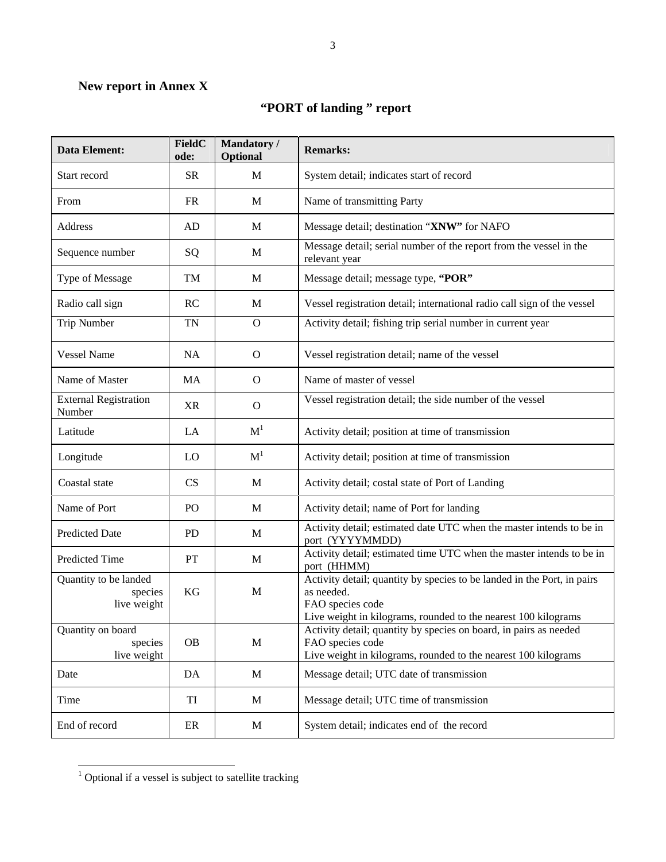## **New report in Annex X**

# **"PORT of landing " report**

| <b>Data Element:</b>                            | FieldC<br>ode:  | Mandatory /<br>Optional | <b>Remarks:</b>                                                                                                                                                             |
|-------------------------------------------------|-----------------|-------------------------|-----------------------------------------------------------------------------------------------------------------------------------------------------------------------------|
| Start record                                    | <b>SR</b>       | M                       | System detail; indicates start of record                                                                                                                                    |
| From                                            | <b>FR</b>       | M                       | Name of transmitting Party                                                                                                                                                  |
| Address                                         | AD              | M                       | Message detail; destination "XNW" for NAFO                                                                                                                                  |
| Sequence number                                 | SQ              | M                       | Message detail; serial number of the report from the vessel in the<br>relevant year                                                                                         |
| Type of Message                                 | TM              | M                       | Message detail; message type, "POR"                                                                                                                                         |
| Radio call sign                                 | RC              | M                       | Vessel registration detail; international radio call sign of the vessel                                                                                                     |
| <b>Trip Number</b>                              | <b>TN</b>       | $\mathbf{O}$            | Activity detail; fishing trip serial number in current year                                                                                                                 |
| <b>Vessel Name</b>                              | <b>NA</b>       | $\mathbf{O}$            | Vessel registration detail; name of the vessel                                                                                                                              |
| Name of Master                                  | MA              | $\mathbf{O}$            | Name of master of vessel                                                                                                                                                    |
| <b>External Registration</b><br>Number          | <b>XR</b>       | $\mathbf{O}$            | Vessel registration detail; the side number of the vessel                                                                                                                   |
| Latitude                                        | LA              | M <sup>1</sup>          | Activity detail; position at time of transmission                                                                                                                           |
| Longitude                                       | LO              | M <sup>1</sup>          | Activity detail; position at time of transmission                                                                                                                           |
| Coastal state                                   | CS              | M                       | Activity detail; costal state of Port of Landing                                                                                                                            |
| Name of Port                                    | PO <sub>1</sub> | M                       | Activity detail; name of Port for landing                                                                                                                                   |
| <b>Predicted Date</b>                           | <b>PD</b>       | M                       | Activity detail; estimated date UTC when the master intends to be in<br>port (YYYYMMDD)                                                                                     |
| <b>Predicted Time</b>                           | PT              | M                       | Activity detail; estimated time UTC when the master intends to be in<br>port (HHMM)                                                                                         |
| Quantity to be landed<br>species<br>live weight | KG              | M                       | Activity detail; quantity by species to be landed in the Port, in pairs<br>as needed.<br>FAO species code<br>Live weight in kilograms, rounded to the nearest 100 kilograms |
| Quantity on board<br>species<br>live weight     | <b>OB</b>       | M                       | Activity detail; quantity by species on board, in pairs as needed<br>FAO species code<br>Live weight in kilograms, rounded to the nearest 100 kilograms                     |
| Date                                            | DA              | $\mathbf M$             | Message detail; UTC date of transmission                                                                                                                                    |
| Time                                            | TI              | M                       | Message detail; UTC time of transmission                                                                                                                                    |
| End of record                                   | ER              | M                       | System detail; indicates end of the record                                                                                                                                  |

 1 Optional if a vessel is subject to satellite tracking